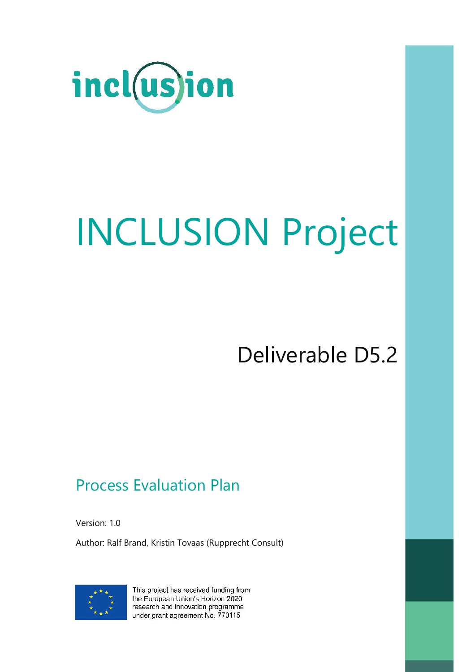

# INCLUSION Project

Deliverable D5.2

### Process Evaluation Plan

Version: 1.0

Author: Ralf Brand, Kristin Tovaas (Rupprecht Consult)



This project has received funding from the European Union's Horizon 2020 research and innovation programme under grant agreement No. 770115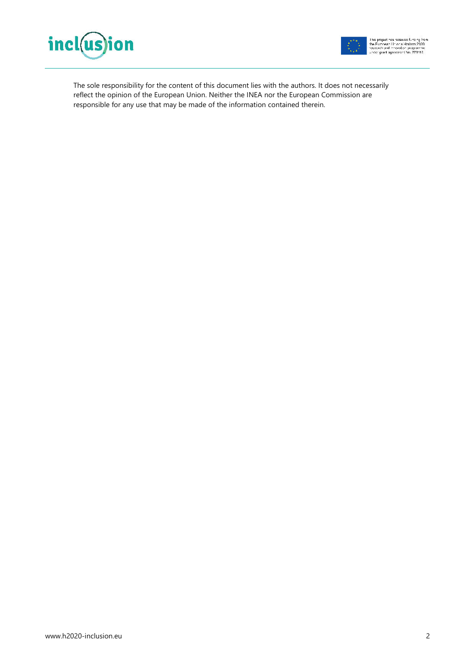



The sole responsibility for the content of this document lies with the authors. It does not necessarily reflect the opinion of the European Union. Neither the INEA nor the European Commission are responsible for any use that may be made of the information contained therein.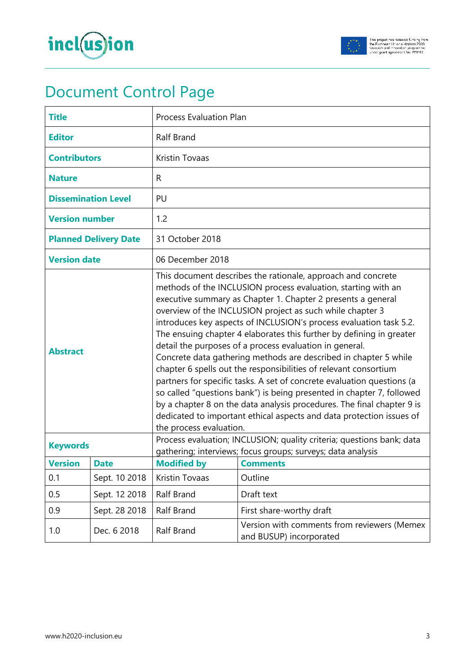



# Document Control Page

| <b>Title</b>                 |               | <b>Process Evaluation Plan</b>                                                                                                                                                                                                                                                                                                                                                                                                                                                                                                                                                                                                                                                                                                                                                                                                                                                                                                              |                                                                                                                                      |  |
|------------------------------|---------------|---------------------------------------------------------------------------------------------------------------------------------------------------------------------------------------------------------------------------------------------------------------------------------------------------------------------------------------------------------------------------------------------------------------------------------------------------------------------------------------------------------------------------------------------------------------------------------------------------------------------------------------------------------------------------------------------------------------------------------------------------------------------------------------------------------------------------------------------------------------------------------------------------------------------------------------------|--------------------------------------------------------------------------------------------------------------------------------------|--|
| <b>Editor</b>                |               | Ralf Brand                                                                                                                                                                                                                                                                                                                                                                                                                                                                                                                                                                                                                                                                                                                                                                                                                                                                                                                                  |                                                                                                                                      |  |
| <b>Contributors</b>          |               | <b>Kristin Tovaas</b>                                                                                                                                                                                                                                                                                                                                                                                                                                                                                                                                                                                                                                                                                                                                                                                                                                                                                                                       |                                                                                                                                      |  |
| <b>Nature</b>                |               | R                                                                                                                                                                                                                                                                                                                                                                                                                                                                                                                                                                                                                                                                                                                                                                                                                                                                                                                                           |                                                                                                                                      |  |
| <b>Dissemination Level</b>   |               | PU                                                                                                                                                                                                                                                                                                                                                                                                                                                                                                                                                                                                                                                                                                                                                                                                                                                                                                                                          |                                                                                                                                      |  |
| <b>Version number</b>        |               | 1.2                                                                                                                                                                                                                                                                                                                                                                                                                                                                                                                                                                                                                                                                                                                                                                                                                                                                                                                                         |                                                                                                                                      |  |
| <b>Planned Delivery Date</b> |               | 31 October 2018                                                                                                                                                                                                                                                                                                                                                                                                                                                                                                                                                                                                                                                                                                                                                                                                                                                                                                                             |                                                                                                                                      |  |
| <b>Version date</b>          |               | 06 December 2018                                                                                                                                                                                                                                                                                                                                                                                                                                                                                                                                                                                                                                                                                                                                                                                                                                                                                                                            |                                                                                                                                      |  |
| <b>Abstract</b>              |               | This document describes the rationale, approach and concrete<br>methods of the INCLUSION process evaluation, starting with an<br>executive summary as Chapter 1. Chapter 2 presents a general<br>overview of the INCLUSION project as such while chapter 3<br>introduces key aspects of INCLUSION's process evaluation task 5.2.<br>The ensuing chapter 4 elaborates this further by defining in greater<br>detail the purposes of a process evaluation in general.<br>Concrete data gathering methods are described in chapter 5 while<br>chapter 6 spells out the responsibilities of relevant consortium<br>partners for specific tasks. A set of concrete evaluation questions (a<br>so called "questions bank") is being presented in chapter 7, followed<br>by a chapter 8 on the data analysis procedures. The final chapter 9 is<br>dedicated to important ethical aspects and data protection issues of<br>the process evaluation. |                                                                                                                                      |  |
| <b>Keywords</b>              |               |                                                                                                                                                                                                                                                                                                                                                                                                                                                                                                                                                                                                                                                                                                                                                                                                                                                                                                                                             | Process evaluation; INCLUSION; quality criteria; questions bank; data<br>gathering; interviews; focus groups; surveys; data analysis |  |
| <b>Version</b>               | <b>Date</b>   | <b>Modified by</b>                                                                                                                                                                                                                                                                                                                                                                                                                                                                                                                                                                                                                                                                                                                                                                                                                                                                                                                          | <b>Comments</b>                                                                                                                      |  |
| 0.1                          | Sept. 10 2018 | Kristin Tovaas                                                                                                                                                                                                                                                                                                                                                                                                                                                                                                                                                                                                                                                                                                                                                                                                                                                                                                                              | Outline                                                                                                                              |  |
| 0.5                          | Sept. 12 2018 | Ralf Brand                                                                                                                                                                                                                                                                                                                                                                                                                                                                                                                                                                                                                                                                                                                                                                                                                                                                                                                                  | Draft text                                                                                                                           |  |
| 0.9                          | Sept. 28 2018 | <b>Ralf Brand</b>                                                                                                                                                                                                                                                                                                                                                                                                                                                                                                                                                                                                                                                                                                                                                                                                                                                                                                                           | First share-worthy draft                                                                                                             |  |
| 1.0                          | Dec. 6 2018   | Ralf Brand                                                                                                                                                                                                                                                                                                                                                                                                                                                                                                                                                                                                                                                                                                                                                                                                                                                                                                                                  | Version with comments from reviewers (Memex<br>and BUSUP) incorporated                                                               |  |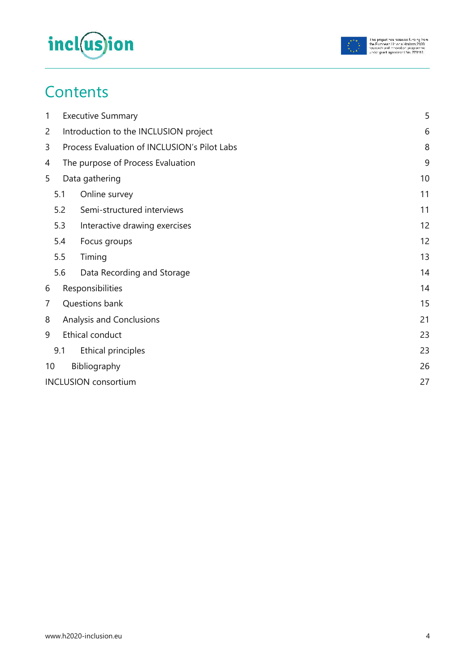



### **Contents**

| 1              |                | <b>Executive Summary</b>                     | 5  |
|----------------|----------------|----------------------------------------------|----|
| $\overline{2}$ |                | Introduction to the INCLUSION project        | 6  |
| 3              |                | Process Evaluation of INCLUSION's Pilot Labs | 8  |
| 4              |                | The purpose of Process Evaluation            | 9  |
| 5              | Data gathering |                                              |    |
|                | 5.1            | Online survey                                | 11 |
|                | 5.2            | Semi-structured interviews                   | 11 |
|                | 5.3            | Interactive drawing exercises                | 12 |
|                | 5.4            | Focus groups                                 | 12 |
|                | 5.5            | Timing                                       | 13 |
|                | 5.6            | Data Recording and Storage                   | 14 |
| 6              |                | Responsibilities                             | 14 |
| 7              |                | Questions bank                               | 15 |
| 8              |                | Analysis and Conclusions                     | 21 |
| 9              |                | Ethical conduct                              | 23 |
|                | 9.1            | Ethical principles                           | 23 |
| 10             |                | Bibliography                                 | 26 |
|                |                | <b>INCLUSION</b> consortium                  | 27 |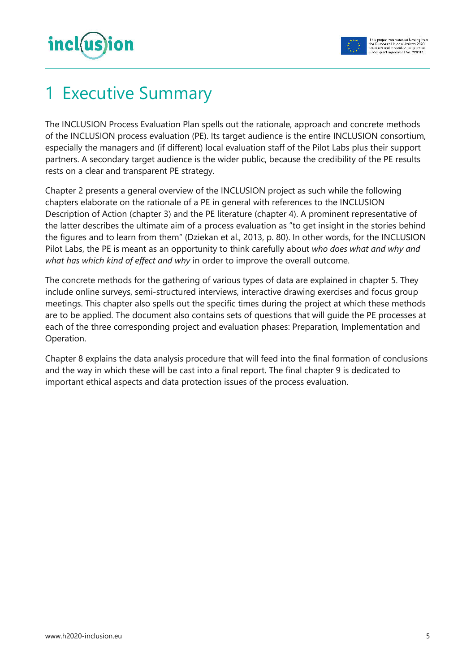

# **Executive Summary**

The INCLUSION Process Evaluation Plan spells out the rationale, approach and concrete methods of the INCLUSION process evaluation (PE). Its target audience is the entire INCLUSION consortium, especially the managers and (if different) local evaluation staff of the Pilot Labs plus their support partners. A secondary target audience is the wider public, because the credibility of the PE results rests on a clear and transparent PE strategy.

Chapter 2 presents a general overview of the INCLUSION project as such while the following chapters elaborate on the rationale of a PE in general with references to the INCLUSION Description of Action (chapter 3) and the PE literature (chapter 4). A prominent representative of the latter describes the ultimate aim of a process evaluation as "to get insight in the stories behind the figures and to learn from them" (Dziekan et al., 2013, p. 80). In other words, for the INCLUSION Pilot Labs, the PE is meant as an opportunity to think carefully about *who does what and why and what has which kind of effect and why* in order to improve the overall outcome.

The concrete methods for the gathering of various types of data are explained in chapter 5. They include online surveys, semi-structured interviews, interactive drawing exercises and focus group meetings. This chapter also spells out the specific times during the project at which these methods are to be applied. The document also contains sets of questions that will guide the PE processes at each of the three corresponding project and evaluation phases: Preparation, Implementation and Operation.

Chapter 8 explains the data analysis procedure that will feed into the final formation of conclusions and the way in which these will be cast into a final report. The final chapter 9 is dedicated to important ethical aspects and data protection issues of the process evaluation.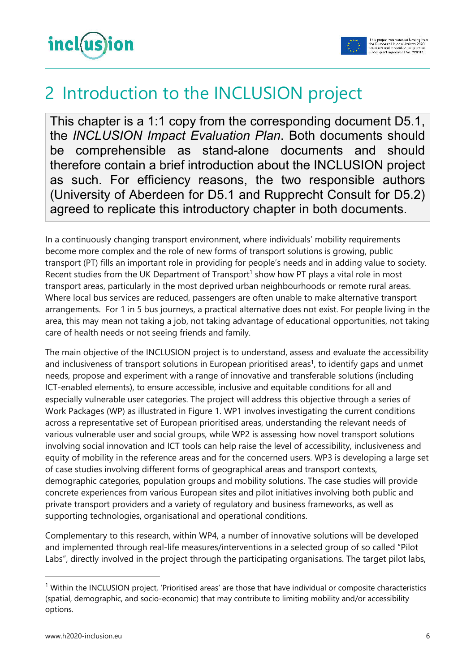

### 2 Introduction to the INCLUSION project

This chapter is a 1:1 copy from the corresponding document D5.1, the *INCLUSION Impact Evaluation Plan*. Both documents should be comprehensible as stand-alone documents and should therefore contain a brief introduction about the INCLUSION project as such. For efficiency reasons, the two responsible authors (University of Aberdeen for D5.1 and Rupprecht Consult for D5.2) agreed to replicate this introductory chapter in both documents.

In a continuously changing transport environment, where individuals' mobility requirements become more complex and the role of new forms of transport solutions is growing, public transport (PT) fills an important role in providing for people's needs and in adding value to society. Recent studies from the UK Department of Transport<sup>1</sup> show how PT plays a vital role in most transport areas, particularly in the most deprived urban neighbourhoods or remote rural areas. Where local bus services are reduced, passengers are often unable to make alternative transport arrangements. For 1 in 5 bus journeys, a practical alternative does not exist. For people living in the area, this may mean not taking a job, not taking advantage of educational opportunities, not taking care of health needs or not seeing friends and family.

The main objective of the INCLUSION project is to understand, assess and evaluate the accessibility and inclusiveness of transport solutions in European prioritised areas<sup>1</sup>, to identify gaps and unmet needs, propose and experiment with a range of innovative and transferable solutions (including ICT-enabled elements), to ensure accessible, inclusive and equitable conditions for all and especially vulnerable user categories. The project will address this objective through a series of Work Packages (WP) as illustrated in Figure 1. WP1 involves investigating the current conditions across a representative set of European prioritised areas, understanding the relevant needs of various vulnerable user and social groups, while WP2 is assessing how novel transport solutions involving social innovation and ICT tools can help raise the level of accessibility, inclusiveness and equity of mobility in the reference areas and for the concerned users. WP3 is developing a large set of case studies involving different forms of geographical areas and transport contexts, demographic categories, population groups and mobility solutions. The case studies will provide concrete experiences from various European sites and pilot initiatives involving both public and private transport providers and a variety of regulatory and business frameworks, as well as supporting technologies, organisational and operational conditions.

Complementary to this research, within WP4, a number of innovative solutions will be developed and implemented through real-life measures/interventions in a selected group of so called "Pilot Labs", directly involved in the project through the participating organisations. The target pilot labs,

 $\overline{a}$ 

 $<sup>1</sup>$  Within the INCLUSION project, 'Prioritised areas' are those that have individual or composite characteristics</sup> (spatial, demographic, and socio-economic) that may contribute to limiting mobility and/or accessibility options.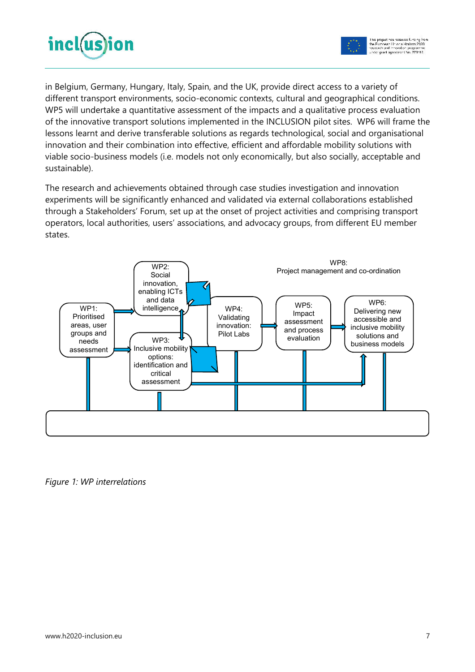



in Belgium, Germany, Hungary, Italy, Spain, and the UK, provide direct access to a variety of different transport environments, socio-economic contexts, cultural and geographical conditions. WP5 will undertake a quantitative assessment of the impacts and a qualitative process evaluation of the innovative transport solutions implemented in the INCLUSION pilot sites. WP6 will frame the lessons learnt and derive transferable solutions as regards technological, social and organisational innovation and their combination into effective, efficient and affordable mobility solutions with viable socio-business models (i.e. models not only economically, but also socially, acceptable and sustainable).

The research and achievements obtained through case studies investigation and innovation experiments will be significantly enhanced and validated via external collaborations established through a Stakeholders' Forum, set up at the onset of project activities and comprising transport operators, local authorities, users' associations, and advocacy groups, from different EU member states.



*Figure 1: WP interrelations*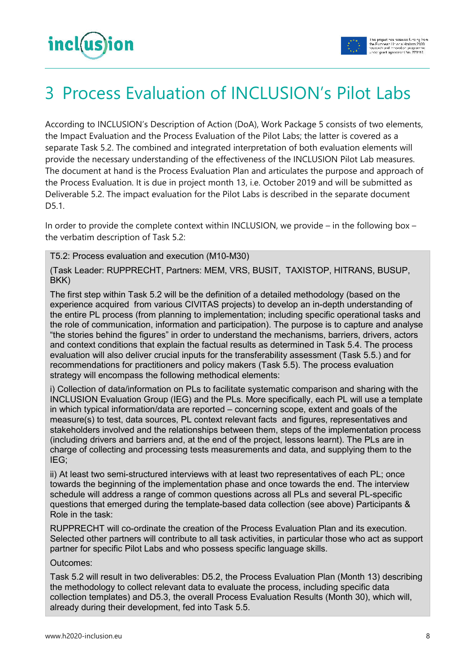



# 3 Process Evaluation of INCLUSION's Pilot Labs

According to INCLUSION's Description of Action (DoA), Work Package 5 consists of two elements, the Impact Evaluation and the Process Evaluation of the Pilot Labs; the latter is covered as a separate Task 5.2. The combined and integrated interpretation of both evaluation elements will provide the necessary understanding of the effectiveness of the INCLUSION Pilot Lab measures. The document at hand is the Process Evaluation Plan and articulates the purpose and approach of the Process Evaluation. It is due in project month 13, i.e. October 2019 and will be submitted as Deliverable 5.2. The impact evaluation for the Pilot Labs is described in the separate document D5.1.

In order to provide the complete context within INCLUSION, we provide – in the following box – the verbatim description of Task 5.2:

T5.2: Process evaluation and execution (M10-M30)

(Task Leader: RUPPRECHT, Partners: MEM, VRS, BUSIT, TAXISTOP, HITRANS, BUSUP, BKK)

The first step within Task 5.2 will be the definition of a detailed methodology (based on the experience acquired from various CIVITAS projects) to develop an in-depth understanding of the entire PL process (from planning to implementation; including specific operational tasks and the role of communication, information and participation). The purpose is to capture and analyse "the stories behind the figures" in order to understand the mechanisms, barriers, drivers, actors and context conditions that explain the factual results as determined in Task 5.4. The process evaluation will also deliver crucial inputs for the transferability assessment (Task 5.5.) and for recommendations for practitioners and policy makers (Task 5.5). The process evaluation strategy will encompass the following methodical elements:

i) Collection of data/information on PLs to facilitate systematic comparison and sharing with the INCLUSION Evaluation Group (IEG) and the PLs. More specifically, each PL will use a template in which typical information/data are reported – concerning scope, extent and goals of the measure(s) to test, data sources, PL context relevant facts and figures, representatives and stakeholders involved and the relationships between them, steps of the implementation process (including drivers and barriers and, at the end of the project, lessons learnt). The PLs are in charge of collecting and processing tests measurements and data, and supplying them to the IEG;

ii) At least two semi-structured interviews with at least two representatives of each PL; once towards the beginning of the implementation phase and once towards the end. The interview schedule will address a range of common questions across all PLs and several PL-specific questions that emerged during the template-based data collection (see above) Participants & Role in the task:

RUPPRECHT will co-ordinate the creation of the Process Evaluation Plan and its execution. Selected other partners will contribute to all task activities, in particular those who act as support partner for specific Pilot Labs and who possess specific language skills.

Outcomes:

Task 5.2 will result in two deliverables: D5.2, the Process Evaluation Plan (Month 13) describing the methodology to collect relevant data to evaluate the process, including specific data collection templates) and D5.3, the overall Process Evaluation Results (Month 30), which will, already during their development, fed into Task 5.5.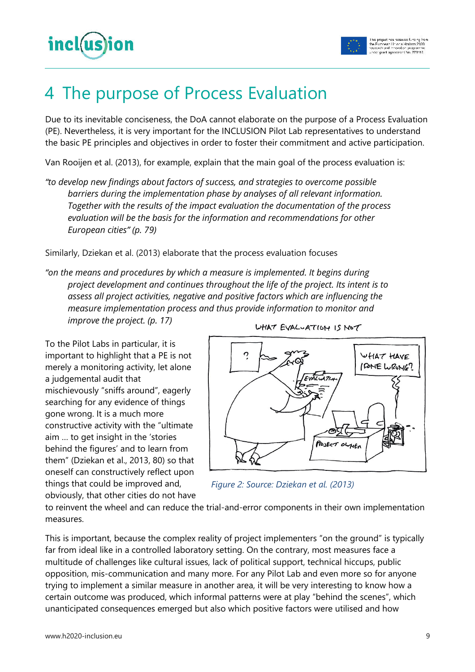

### 4 The purpose of Process Evaluation

Due to its inevitable conciseness, the DoA cannot elaborate on the purpose of a Process Evaluation (PE). Nevertheless, it is very important for the INCLUSION Pilot Lab representatives to understand the basic PE principles and objectives in order to foster their commitment and active participation.

Van Rooijen et al. (2013), for example, explain that the main goal of the process evaluation is:

*"to develop new findings about factors of success, and strategies to overcome possible barriers during the implementation phase by analyses of all relevant information. Together with the results of the impact evaluation the documentation of the process evaluation will be the basis for the information and recommendations for other European cities" (p. 79)* 

Similarly, Dziekan et al. (2013) elaborate that the process evaluation focuses

*"on the means and procedures by which a measure is implemented. It begins during project development and continues throughout the life of the project. Its intent is to assess all project activities, negative and positive factors which are influencing the measure implementation process and thus provide information to monitor and improve the project. (p. 17)* 

To the Pilot Labs in particular, it is important to highlight that a PE is not merely a monitoring activity, let alone a judgemental audit that mischievously "sniffs around", eagerly searching for any evidence of things gone wrong. It is a much more constructive activity with the "ultimate aim … to get insight in the 'stories behind the figures' and to learn from them" (Dziekan et al., 2013, 80) so that oneself can constructively reflect upon things that could be improved and, obviously, that other cities do not have





*Figure 2: Source: Dziekan et al. (2013)*

to reinvent the wheel and can reduce the trial-and-error components in their own implementation measures.

This is important, because the complex reality of project implementers "on the ground" is typically far from ideal like in a controlled laboratory setting. On the contrary, most measures face a multitude of challenges like cultural issues, lack of political support, technical hiccups, public opposition, mis-communication and many more. For any Pilot Lab and even more so for anyone trying to implement a similar measure in another area, it will be very interesting to know how a certain outcome was produced, which informal patterns were at play "behind the scenes", which unanticipated consequences emerged but also which positive factors were utilised and how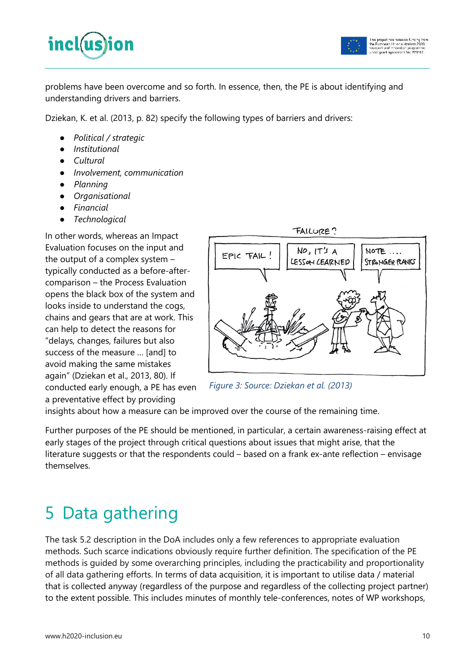



problems have been overcome and so forth. In essence, then, the PE is about identifying and understanding drivers and barriers.

Dziekan, K. et al. (2013, p. 82) specify the following types of barriers and drivers:

- *Political / strategic*
- *Institutional*
- *Cultural*
- *Involvement, communication*
- *Planning*
- *Organisational*
- *Financial*
- *Technological*

In other words, whereas an Impact Evaluation focuses on the input and the output of a complex system – typically conducted as a before-aftercomparison – the Process Evaluation opens the black box of the system and looks inside to understand the cogs, chains and gears that are at work. This can help to detect the reasons for "delays, changes, failures but also success of the measure … [and] to avoid making the same mistakes again" (Dziekan et al., 2013, 80). If conducted early enough, a PE has even a preventative effect by providing



*Figure 3: Source: Dziekan et al. (2013)*

insights about how a measure can be improved over the course of the remaining time.

Further purposes of the PE should be mentioned, in particular, a certain awareness-raising effect at early stages of the project through critical questions about issues that might arise, that the literature suggests or that the respondents could – based on a frank ex-ante reflection – envisage themselves.

# 5 Data gathering

The task 5.2 description in the DoA includes only a few references to appropriate evaluation methods. Such scarce indications obviously require further definition. The specification of the PE methods is guided by some overarching principles, including the practicability and proportionality of all data gathering efforts. In terms of data acquisition, it is important to utilise data / material that is collected anyway (regardless of the purpose and regardless of the collecting project partner) to the extent possible. This includes minutes of monthly tele-conferences, notes of WP workshops,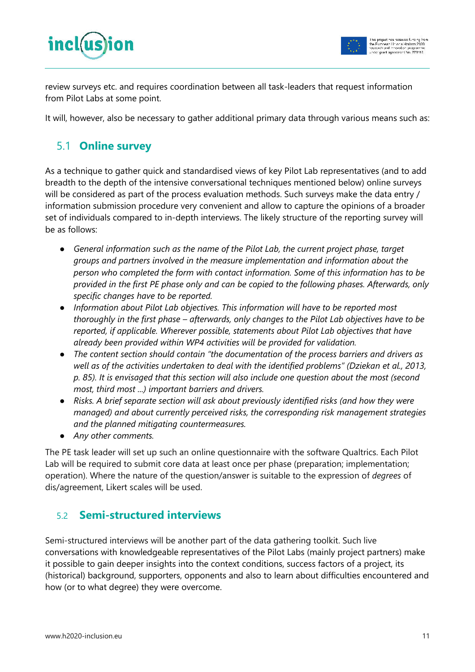

review surveys etc. and requires coordination between all task-leaders that request information from Pilot Labs at some point.

It will, however, also be necessary to gather additional primary data through various means such as:

### 5.1 **Online survey**

As a technique to gather quick and standardised views of key Pilot Lab representatives (and to add breadth to the depth of the intensive conversational techniques mentioned below) online surveys will be considered as part of the process evaluation methods. Such surveys make the data entry / information submission procedure very convenient and allow to capture the opinions of a broader set of individuals compared to in-depth interviews. The likely structure of the reporting survey will be as follows:

- *General information such as the name of the Pilot Lab, the current project phase, target groups and partners involved in the measure implementation and information about the person who completed the form with contact information. Some of this information has to be provided in the first PE phase only and can be copied to the following phases. Afterwards, only specific changes have to be reported.*
- *Information about Pilot Lab objectives. This information will have to be reported most thoroughly in the first phase – afterwards, only changes to the Pilot Lab objectives have to be reported, if applicable. Wherever possible, statements about Pilot Lab objectives that have already been provided within WP4 activities will be provided for validation.*
- *The content section should contain "the documentation of the process barriers and drivers as well as of the activities undertaken to deal with the identified problems" (Dziekan et al., 2013, p. 85). It is envisaged that this section will also include one question about the most (second most, third most ...) important barriers and drivers.*
- *Risks. A brief separate section will ask about previously identified risks (and how they were managed) and about currently perceived risks, the corresponding risk management strategies and the planned mitigating countermeasures.*
- *Any other comments.*

The PE task leader will set up such an online questionnaire with the software Qualtrics. Each Pilot Lab will be required to submit core data at least once per phase (preparation; implementation; operation). Where the nature of the question/answer is suitable to the expression of *degrees* of dis/agreement, Likert scales will be used.

### 5.2 **Semi-structured interviews**

Semi-structured interviews will be another part of the data gathering toolkit. Such live conversations with knowledgeable representatives of the Pilot Labs (mainly project partners) make it possible to gain deeper insights into the context conditions, success factors of a project, its (historical) background, supporters, opponents and also to learn about difficulties encountered and how (or to what degree) they were overcome.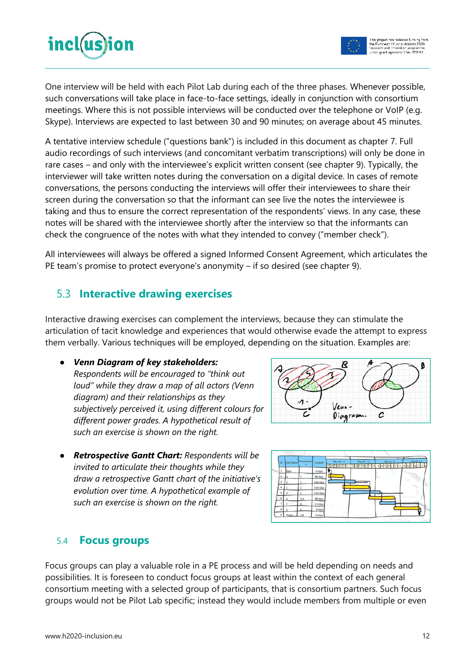

One interview will be held with each Pilot Lab during each of the three phases. Whenever possible, such conversations will take place in face-to-face settings, ideally in conjunction with consortium meetings. Where this is not possible interviews will be conducted over the telephone or VoIP (e.g. Skype). Interviews are expected to last between 30 and 90 minutes; on average about 45 minutes.

A tentative interview schedule ("questions bank") is included in this document as chapter 7. Full audio recordings of such interviews (and concomitant verbatim transcriptions) will only be done in rare cases – and only with the interviewee's explicit written consent (see chapter 9). Typically, the interviewer will take written notes during the conversation on a digital device. In cases of remote conversations, the persons conducting the interviews will offer their interviewees to share their screen during the conversation so that the informant can see live the notes the interviewee is taking and thus to ensure the correct representation of the respondents' views. In any case, these notes will be shared with the interviewee shortly after the interview so that the informants can check the congruence of the notes with what they intended to convey ("member check").

All interviewees will always be offered a signed Informed Consent Agreement, which articulates the PE team's promise to protect everyone's anonymity – if so desired (see chapter 9).

### 5.3 **Interactive drawing exercises**

Interactive drawing exercises can complement the interviews, because they can stimulate the articulation of tacit knowledge and experiences that would otherwise evade the attempt to express them verbally. Various techniques will be employed, depending on the situation. Examples are:

● *Venn Diagram of key stakeholders:* 

*Respondents will be encouraged to "think out loud" while they draw a map of all actors (Venn diagram) and their relationships as they subjectively perceived it, using different colours for different power grades. A hypothetical result of such an exercise is shown on the right.* 

● *Retrospective Gantt Chart: Respondents will be invited to articulate their thoughts while they draw a retrospective Gantt chart of the initiative's evolution over time. A hypothetical example of such an exercise is shown on the right.* 





#### 5.4 **Focus groups**

Focus groups can play a valuable role in a PE process and will be held depending on needs and possibilities. It is foreseen to conduct focus groups at least within the context of each general consortium meeting with a selected group of participants, that is consortium partners. Such focus groups would not be Pilot Lab specific; instead they would include members from multiple or even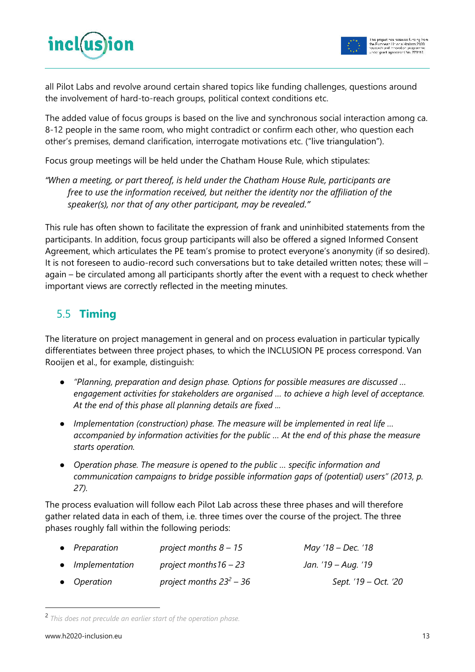

all Pilot Labs and revolve around certain shared topics like funding challenges, questions around the involvement of hard-to-reach groups, political context conditions etc.

The added value of focus groups is based on the live and synchronous social interaction among ca. 8-12 people in the same room, who might contradict or confirm each other, who question each other's premises, demand clarification, interrogate motivations etc. ("live triangulation").

Focus group meetings will be held under the Chatham House Rule, which stipulates:

*"When a meeting, or part thereof, is held under the Chatham House Rule, participants are free to use the information received, but neither the identity nor the affiliation of the speaker(s), nor that of any other participant, may be revealed."* 

This rule has often shown to facilitate the expression of frank and uninhibited statements from the participants. In addition, focus group participants will also be offered a signed Informed Consent Agreement, which articulates the PE team's promise to protect everyone's anonymity (if so desired). It is not foreseen to audio-record such conversations but to take detailed written notes; these will – again – be circulated among all participants shortly after the event with a request to check whether important views are correctly reflected in the meeting minutes.

### 5.5 **Timing**

The literature on project management in general and on process evaluation in particular typically differentiates between three project phases, to which the INCLUSION PE process correspond. Van Rooijen et al., for example, distinguish:

- *"Planning, preparation and design phase. Options for possible measures are discussed … engagement activities for stakeholders are organised … to achieve a high level of acceptance. At the end of this phase all planning details are fixed ...*
- *Implementation (construction) phase. The measure will be implemented in real life … accompanied by information activities for the public … At the end of this phase the measure starts operation.*
- *Operation phase. The measure is opened to the public … specific information and communication campaigns to bridge possible information gaps of (potential) users" (2013, p. 27).*

The process evaluation will follow each Pilot Lab across these three phases and will therefore gather related data in each of them, i.e. three times over the course of the project. The three phases roughly fall within the following periods:

| • Preparation    | project months $8 - 15$    | May '18 – Dec. '18   |
|------------------|----------------------------|----------------------|
| • Implementation | project months $16 - 23$   | Jan. '19 – Aug. '19  |
| • Operation      | project months $23^2 - 36$ | Sept. '19 – Oct. '20 |

<sup>2</sup>  *This does not preculde an earlier start of the operation phase.* 

 $\overline{a}$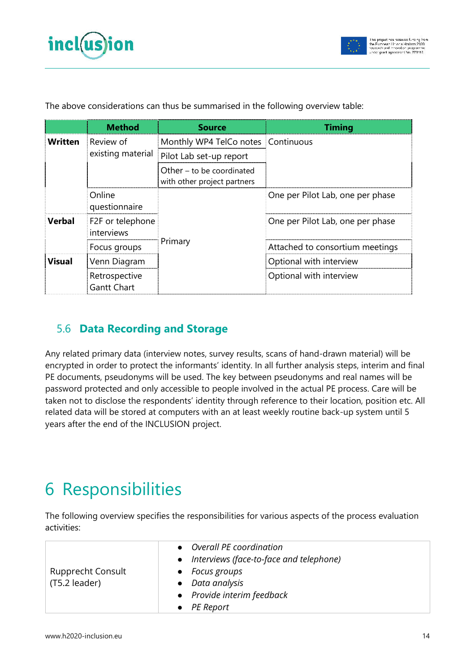

|                                | <b>Method</b>                  | <b>Source</b>                                              | <b>Timing</b>                    |  |
|--------------------------------|--------------------------------|------------------------------------------------------------|----------------------------------|--|
| <b>Written</b>                 | Review of                      | Monthly WP4 TelCo notes Continuous                         |                                  |  |
| <b>Verbal</b><br><b>Visual</b> | existing material              | Pilot Lab set-up report                                    |                                  |  |
|                                |                                | Other $-$ to be coordinated<br>with other project partners |                                  |  |
|                                | Online<br>questionnaire        |                                                            | One per Pilot Lab, one per phase |  |
|                                | F2F or telephone<br>interviews |                                                            | One per Pilot Lab, one per phase |  |
|                                | Focus groups                   | Primary                                                    | Attached to consortium meetings  |  |
| <b>Gantt Chart</b>             | Venn Diagram                   |                                                            | Optional with interview          |  |
|                                | Retrospective                  |                                                            | Optional with interview          |  |

The above considerations can thus be summarised in the following overview table:

### 5.6 **Data Recording and Storage**

Any related primary data (interview notes, survey results, scans of hand-drawn material) will be encrypted in order to protect the informants' identity. In all further analysis steps, interim and final PE documents, pseudonyms will be used. The key between pseudonyms and real names will be password protected and only accessible to people involved in the actual PE process. Care will be taken not to disclose the respondents' identity through reference to their location, position etc. All related data will be stored at computers with an at least weekly routine back-up system until 5 years after the end of the INCLUSION project.

# 6 Responsibilities

The following overview specifies the responsibilities for various aspects of the process evaluation activities:

|                          | • Overall PE coordination               |
|--------------------------|-----------------------------------------|
|                          | Interviews (face-to-face and telephone) |
| <b>Rupprecht Consult</b> | Focus groups                            |
| (T5.2 leader)            | Data analysis                           |
|                          | • Provide interim feedback              |
|                          | $\bullet$ PE Report                     |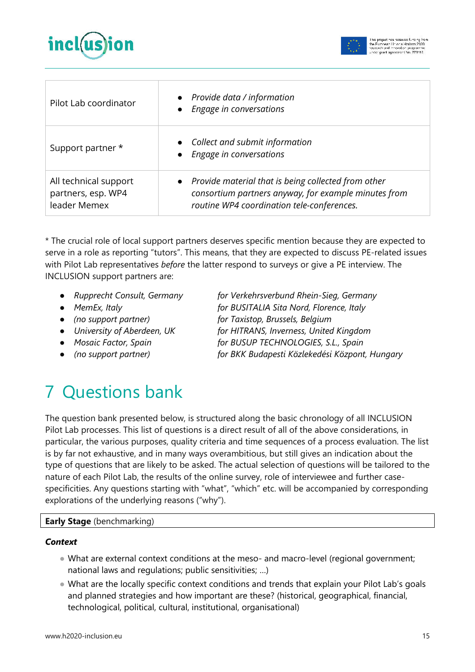



| Pilot Lab coordinator                                       | Provide data / information<br>Engage in conversations                                                                                                     |
|-------------------------------------------------------------|-----------------------------------------------------------------------------------------------------------------------------------------------------------|
| Support partner *                                           | • Collect and submit information<br>Engage in conversations                                                                                               |
| All technical support<br>partners, esp. WP4<br>leader Memex | Provide material that is being collected from other<br>consortium partners anyway, for example minutes from<br>routine WP4 coordination tele-conferences. |

\* The crucial role of local support partners deserves specific mention because they are expected to serve in a role as reporting "tutors". This means, that they are expected to discuss PE-related issues with Pilot Lab representatives *before* the latter respond to surveys or give a PE interview. The INCLUSION support partners are:

- *Rupprecht Consult, Germany for Verkehrsverbund Rhein-Sieg, Germany*
- 
- 
- 
- 
- 

● *MemEx, Italy for BUSITALIA Sita Nord, Florence, Italy*  ● *(no support partner) for Taxistop, Brussels, Belgium*  ● *University of Aberdeen, UK for HITRANS, Inverness, United Kingdom*  ● *Mosaic Factor, Spain for BUSUP TECHNOLOGIES, S.L., Spain*

● *(no support partner) for BKK Budapesti Közlekedési Központ, Hungary*

# 7 Questions bank

The question bank presented below, is structured along the basic chronology of all INCLUSION Pilot Lab processes. This list of questions is a direct result of all of the above considerations, in particular, the various purposes, quality criteria and time sequences of a process evaluation. The list is by far not exhaustive, and in many ways overambitious, but still gives an indication about the type of questions that are likely to be asked. The actual selection of questions will be tailored to the nature of each Pilot Lab, the results of the online survey, role of interviewee and further casespecificities. Any questions starting with "what", "which" etc. will be accompanied by corresponding explorations of the underlying reasons ("why").

#### **Early Stage** (benchmarking)

#### *Context*

- What are external context conditions at the meso- and macro-level (regional government; national laws and regulations; public sensitivities; …)
- What are the locally specific context conditions and trends that explain your Pilot Lab's goals and planned strategies and how important are these? (historical, geographical, financial, technological, political, cultural, institutional, organisational)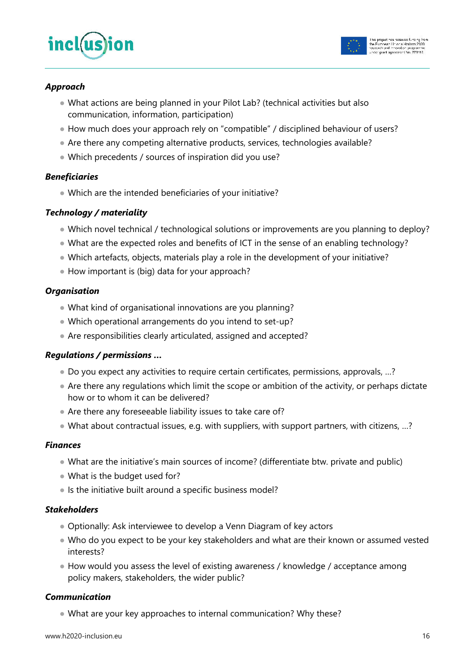



#### *Approach*

- What actions are being planned in your Pilot Lab? (technical activities but also communication, information, participation)
- How much does your approach rely on "compatible" / disciplined behaviour of users?
- Are there any competing alternative products, services, technologies available?
- Which precedents / sources of inspiration did you use?

#### *Beneficiaries*

● Which are the intended beneficiaries of your initiative?

#### *Technology / materiality*

- Which novel technical / technological solutions or improvements are you planning to deploy?
- What are the expected roles and benefits of ICT in the sense of an enabling technology?
- Which artefacts, objects, materials play a role in the development of your initiative?
- How important is (big) data for your approach?

#### *Organisation*

- What kind of organisational innovations are you planning?
- Which operational arrangements do you intend to set-up?
- Are responsibilities clearly articulated, assigned and accepted?

#### *Regulations / permissions …*

- Do you expect any activities to require certain certificates, permissions, approvals, ...?
- Are there any regulations which limit the scope or ambition of the activity, or perhaps dictate how or to whom it can be delivered?
- Are there any foreseeable liability issues to take care of?
- What about contractual issues, e.g. with suppliers, with support partners, with citizens, …?

#### *Finances*

- What are the initiative's main sources of income? (differentiate btw. private and public)
- What is the budget used for?
- Is the initiative built around a specific business model?

#### *Stakeholders*

- Optionally: Ask interviewee to develop a Venn Diagram of key actors
- Who do you expect to be your key stakeholders and what are their known or assumed vested interests?
- How would you assess the level of existing awareness / knowledge / acceptance among policy makers, stakeholders, the wider public?

#### *Communication*

• What are your key approaches to internal communication? Why these?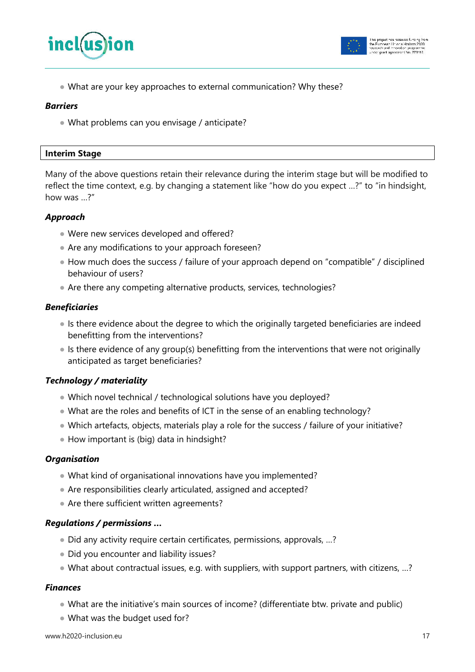



● What are your key approaches to external communication? Why these?

#### *Barriers*

● What problems can you envisage / anticipate?

#### **Interim Stage**

Many of the above questions retain their relevance during the interim stage but will be modified to reflect the time context, e.g. by changing a statement like "how do you expect …?" to "in hindsight, how was …?"

#### *Approach*

- Were new services developed and offered?
- Are any modifications to your approach foreseen?
- How much does the success / failure of your approach depend on "compatible" / disciplined behaviour of users?
- Are there any competing alternative products, services, technologies?

#### *Beneficiaries*

- Is there evidence about the degree to which the originally targeted beneficiaries are indeed benefitting from the interventions?
- Is there evidence of any group(s) benefitting from the interventions that were not originally anticipated as target beneficiaries?

#### *Technology / materiality*

- Which novel technical / technological solutions have you deployed?
- What are the roles and benefits of ICT in the sense of an enabling technology?
- Which artefacts, objects, materials play a role for the success / failure of your initiative?
- How important is (big) data in hindsight?

#### *Organisation*

- What kind of organisational innovations have you implemented?
- Are responsibilities clearly articulated, assigned and accepted?
- Are there sufficient written agreements?

#### *Regulations / permissions …*

- Did any activity require certain certificates, permissions, approvals, ...?
- Did you encounter and liability issues?
- What about contractual issues, e.g. with suppliers, with support partners, with citizens, …?

#### *Finances*

- What are the initiative's main sources of income? (differentiate btw. private and public)
- What was the budget used for?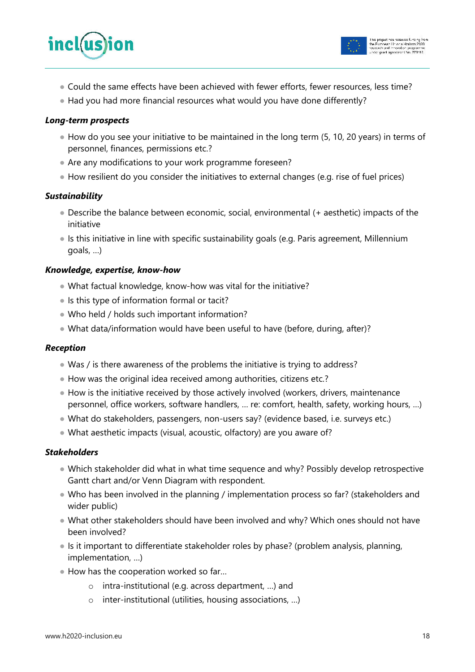

● Had you had more financial resources what would you have done differently?

#### *Long-term prospects*

- How do you see your initiative to be maintained in the long term (5, 10, 20 years) in terms of personnel, finances, permissions etc.?
- Are any modifications to your work programme foreseen?
- How resilient do you consider the initiatives to external changes (e.g. rise of fuel prices)

#### *Sustainability*

- Describe the balance between economic, social, environmental (+ aesthetic) impacts of the initiative
- Is this initiative in line with specific sustainability goals (e.g. Paris agreement, Millennium goals, …)

#### *Knowledge, expertise, know-how*

- What factual knowledge, know-how was vital for the initiative?
- Is this type of information formal or tacit?
- Who held / holds such important information?
- What data/information would have been useful to have (before, during, after)?

#### *Reception*

- Was / is there awareness of the problems the initiative is trying to address?
- How was the original idea received among authorities, citizens etc.?
- How is the initiative received by those actively involved (workers, drivers, maintenance personnel, office workers, software handlers, … re: comfort, health, safety, working hours, …)
- What do stakeholders, passengers, non-users say? (evidence based, i.e. surveys etc.)
- What aesthetic impacts (visual, acoustic, olfactory) are you aware of?

#### *Stakeholders*

- Which stakeholder did what in what time sequence and why? Possibly develop retrospective Gantt chart and/or Venn Diagram with respondent.
- Who has been involved in the planning / implementation process so far? (stakeholders and wider public)
- What other stakeholders should have been involved and why? Which ones should not have been involved?
- Is it important to differentiate stakeholder roles by phase? (problem analysis, planning, implementation, …)
- How has the cooperation worked so far...
	- o intra-institutional (e.g. across department, …) and
	- o inter-institutional (utilities, housing associations, …)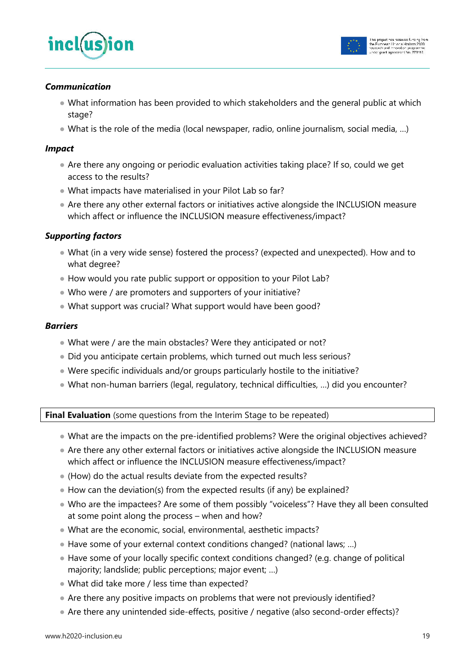



#### *Communication*

- What information has been provided to which stakeholders and the general public at which stage?
- What is the role of the media (local newspaper, radio, online journalism, social media, ...)

#### *Impact*

- Are there any ongoing or periodic evaluation activities taking place? If so, could we get access to the results?
- What impacts have materialised in your Pilot Lab so far?
- Are there any other external factors or initiatives active alongside the INCLUSION measure which affect or influence the INCLUSION measure effectiveness/impact?

#### *Supporting factors*

- What (in a very wide sense) fostered the process? (expected and unexpected). How and to what degree?
- How would you rate public support or opposition to your Pilot Lab?
- Who were / are promoters and supporters of your initiative?
- What support was crucial? What support would have been good?

#### *Barriers*

- What were / are the main obstacles? Were they anticipated or not?
- Did you anticipate certain problems, which turned out much less serious?
- Were specific individuals and/or groups particularly hostile to the initiative?
- What non-human barriers (legal, regulatory, technical difficulties, …) did you encounter?

**Final Evaluation** (some questions from the Interim Stage to be repeated)

- What are the impacts on the pre-identified problems? Were the original objectives achieved?
- Are there any other external factors or initiatives active alongside the INCLUSION measure which affect or influence the INCLUSION measure effectiveness/impact?
- (How) do the actual results deviate from the expected results?
- How can the deviation(s) from the expected results (if any) be explained?
- Who are the impactees? Are some of them possibly "voiceless"? Have they all been consulted at some point along the process – when and how?
- What are the economic, social, environmental, aesthetic impacts?
- Have some of your external context conditions changed? (national laws; ...)
- Have some of your locally specific context conditions changed? (e.g. change of political majority; landslide; public perceptions; major event; …)
- What did take more / less time than expected?
- Are there any positive impacts on problems that were not previously identified?
- Are there any unintended side-effects, positive / negative (also second-order effects)?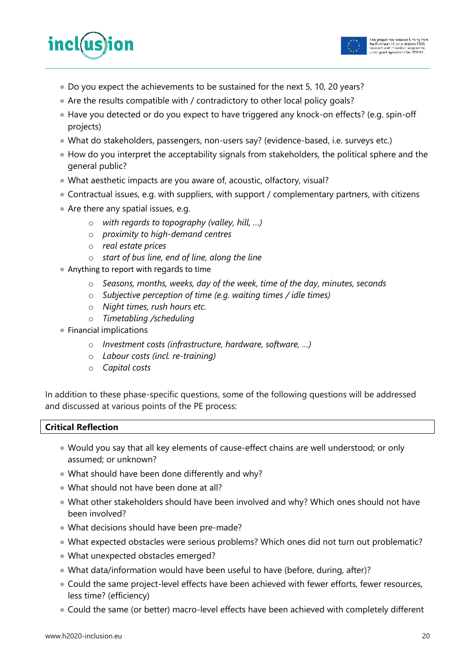



- Do you expect the achievements to be sustained for the next 5, 10, 20 years?
- Are the results compatible with / contradictory to other local policy goals?
- Have you detected or do you expect to have triggered any knock-on effects? (e.g. spin-off projects)
- What do stakeholders, passengers, non-users say? (evidence-based, i.e. surveys etc.)
- How do you interpret the acceptability signals from stakeholders, the political sphere and the general public?
- What aesthetic impacts are you aware of, acoustic, olfactory, visual?
- Contractual issues, e.g. with suppliers, with support / complementary partners, with citizens
- Are there any spatial issues, e.g.
	- o *with regards to topography (valley, hill, …)*
	- o *proximity to high-demand centres*
	- o *real estate prices*
	- o *start of bus line, end of line, along the line*
- Anything to report with regards to time
	- o *Seasons, months, weeks, day of the week, time of the day, minutes, seconds*
	- o *Subjective perception of time (e.g. waiting times / idle times)*
	- o *Night times, rush hours etc.*
	- o *Timetabling /scheduling*
- Financial implications
	- o *Investment costs (infrastructure, hardware, software, …)*
	- o *Labour costs (incl. re-training)*
	- o *Capital costs*

In addition to these phase-specific questions, some of the following questions will be addressed and discussed at various points of the PE process:

#### **Critical Reflection**

- Would you say that all key elements of cause-effect chains are well understood; or only assumed; or unknown?
- What should have been done differently and why?
- What should not have been done at all?
- What other stakeholders should have been involved and why? Which ones should not have been involved?
- What decisions should have been pre-made?
- What expected obstacles were serious problems? Which ones did not turn out problematic?
- What unexpected obstacles emerged?
- What data/information would have been useful to have (before, during, after)?
- Could the same project-level effects have been achieved with fewer efforts, fewer resources, less time? (efficiency)
- Could the same (or better) macro-level effects have been achieved with completely different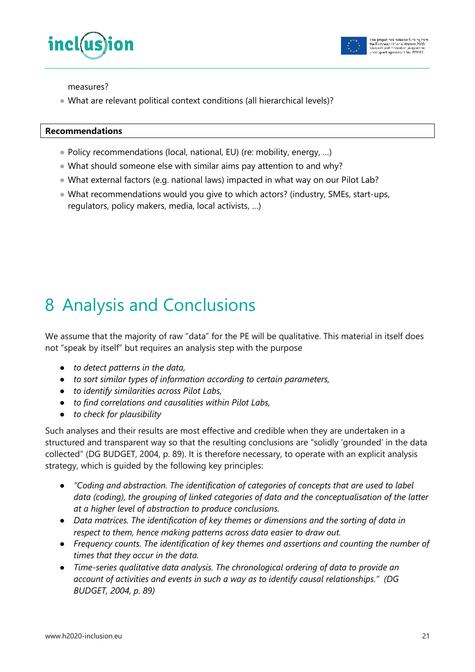



measures?

• What are relevant political context conditions (all hierarchical levels)?

#### **Recommendations**

- Policy recommendations (local, national, EU) (re: mobility, energy, ...)
- What should someone else with similar aims pay attention to and why?
- What external factors (e.g. national laws) impacted in what way on our Pilot Lab?
- What recommendations would you give to which actors? (industry, SMEs, start-ups, regulators, policy makers, media, local activists, …)

# 8 Analysis and Conclusions

We assume that the majority of raw "data" for the PE will be qualitative. This material in itself does not "speak by itself" but requires an analysis step with the purpose

- *to detect patterns in the data,*
- *to sort similar types of information according to certain parameters,*
- *to identify similarities across Pilot Labs,*
- *to find correlations and causalities within Pilot Labs,*
- *to check for plausibility*

Such analyses and their results are most effective and credible when they are undertaken in a structured and transparent way so that the resulting conclusions are "solidly 'grounded' in the data collected" (DG BUDGET, 2004, p. 89). It is therefore necessary, to operate with an explicit analysis strategy, which is guided by the following key principles:

- *"Coding and abstraction. The identification of categories of concepts that are used to label data (coding), the grouping of linked categories of data and the conceptualisation of the latter at a higher level of abstraction to produce conclusions.*
- *Data matrices. The identification of key themes or dimensions and the sorting of data in respect to them, hence making patterns across data easier to draw out.*
- *Frequency counts. The identification of key themes and assertions and counting the number of times that they occur in the data.*
- *Time-series qualitative data analysis. The chronological ordering of data to provide an account of activities and events in such a way as to identify causal relationships." (DG BUDGET, 2004, p. 89)*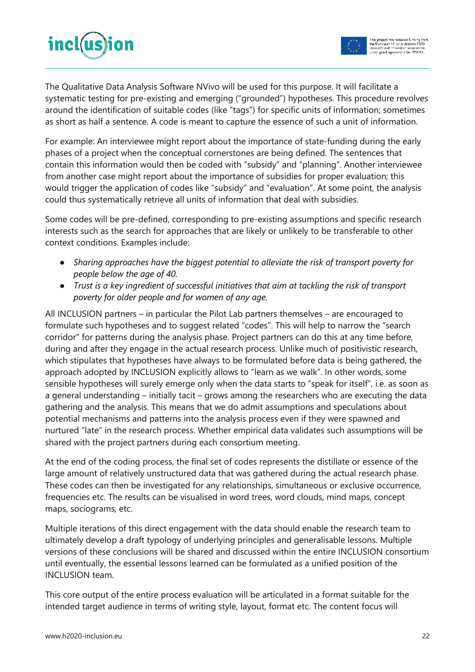

The Qualitative Data Analysis Software NVivo will be used for this purpose. It will facilitate a systematic testing for pre-existing and emerging ("grounded") hypotheses. This procedure revolves around the identification of suitable codes (like "tags") for specific units of information; sometimes as short as half a sentence. A code is meant to capture the essence of such a unit of information.

For example: An interviewee might report about the importance of state-funding during the early phases of a project when the conceptual cornerstones are being defined. The sentences that contain this information would then be coded with "subsidy" and "planning". Another interviewee from another case might report about the importance of subsidies for proper evaluation; this would trigger the application of codes like "subsidy" and "evaluation". At some point, the analysis could thus systematically retrieve all units of information that deal with subsidies.

Some codes will be pre-defined, corresponding to pre-existing assumptions and specific research interests such as the search for approaches that are likely or unlikely to be transferable to other context conditions. Examples include:

- *Sharing approaches have the biggest potential to alleviate the risk of transport poverty for people below the age of 40.*
- *Trust is a key ingredient of successful initiatives that aim at tackling the risk of transport poverty for older people and for women of any age.*

All INCLUSION partners – in particular the Pilot Lab partners themselves – are encouraged to formulate such hypotheses and to suggest related "codes". This will help to narrow the "search corridor" for patterns during the analysis phase. Project partners can do this at any time before, during and after they engage in the actual research process. Unlike much of positivistic research, which stipulates that hypotheses have always to be formulated before data is being gathered, the approach adopted by INCLUSION explicitly allows to "learn as we walk". In other words, some sensible hypotheses will surely emerge only when the data starts to "speak for itself", i.e. as soon as a general understanding – initially tacit – grows among the researchers who are executing the data gathering and the analysis. This means that we do admit assumptions and speculations about potential mechanisms and patterns into the analysis process even if they were spawned and nurtured "late" in the research process. Whether empirical data validates such assumptions will be shared with the project partners during each consortium meeting.

At the end of the coding process, the final set of codes represents the distillate or essence of the large amount of relatively unstructured data that was gathered during the actual research phase. These codes can then be investigated for any relationships, simultaneous or exclusive occurrence, frequencies etc. The results can be visualised in word trees, word clouds, mind maps, concept maps, sociograms, etc.

Multiple iterations of this direct engagement with the data should enable the research team to ultimately develop a draft typology of underlying principles and generalisable lessons. Multiple versions of these conclusions will be shared and discussed within the entire INCLUSION consortium until eventually, the essential lessons learned can be formulated as a unified position of the INCLUSION team.

This core output of the entire process evaluation will be articulated in a format suitable for the intended target audience in terms of writing style, layout, format etc. The content focus will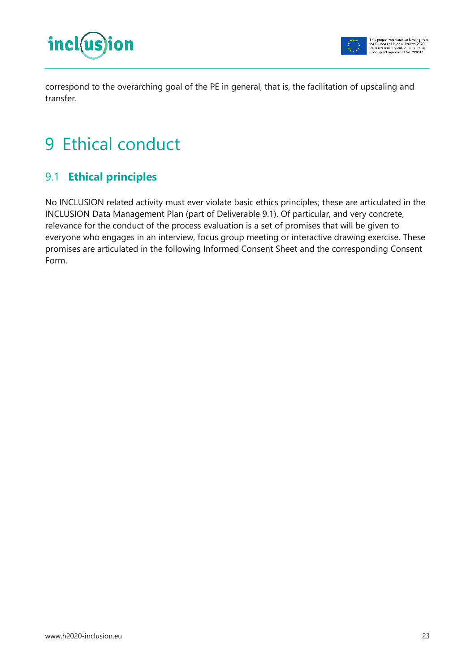

correspond to the overarching goal of the PE in general, that is, the facilitation of upscaling and transfer.

# 9 Ethical conduct

### 9.1 **Ethical principles**

No INCLUSION related activity must ever violate basic ethics principles; these are articulated in the INCLUSION Data Management Plan (part of Deliverable 9.1). Of particular, and very concrete, relevance for the conduct of the process evaluation is a set of promises that will be given to everyone who engages in an interview, focus group meeting or interactive drawing exercise. These promises are articulated in the following Informed Consent Sheet and the corresponding Consent Form.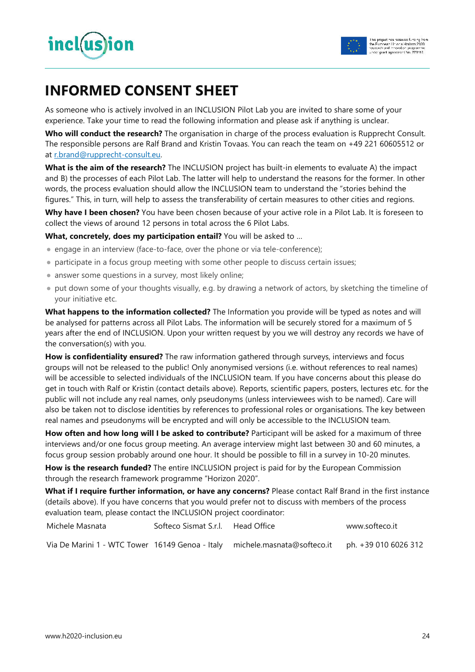

### **INFORMED CONSENT SHEET**

As someone who is actively involved in an INCLUSION Pilot Lab you are invited to share some of your experience. Take your time to read the following information and please ask if anything is unclear.

**Who will conduct the research?** The organisation in charge of the process evaluation is Rupprecht Consult. The responsible persons are Ralf Brand and Kristin Tovaas. You can reach the team on +49 221 60605512 or at r.brand@rupprecht-consult.eu.

**What is the aim of the research?** The INCLUSION project has built-in elements to evaluate A) the impact and B) the processes of each Pilot Lab. The latter will help to understand the reasons for the former. In other words, the process evaluation should allow the INCLUSION team to understand the "stories behind the figures." This, in turn, will help to assess the transferability of certain measures to other cities and regions.

**Why have I been chosen?** You have been chosen because of your active role in a Pilot Lab. It is foreseen to collect the views of around 12 persons in total across the 6 Pilot Labs.

**What, concretely, does my participation entail?** You will be asked to …

- engage in an interview (face-to-face, over the phone or via tele-conference);
- participate in a focus group meeting with some other people to discuss certain issues;
- answer some questions in a survey, most likely online;
- put down some of your thoughts visually, e.g. by drawing a network of actors, by sketching the timeline of your initiative etc.

**What happens to the information collected?** The Information you provide will be typed as notes and will be analysed for patterns across all Pilot Labs. The information will be securely stored for a maximum of 5 years after the end of INCLUSION. Upon your written request by you we will destroy any records we have of the conversation(s) with you.

**How is confidentiality ensured?** The raw information gathered through surveys, interviews and focus groups will not be released to the public! Only anonymised versions (i.e. without references to real names) will be accessible to selected individuals of the INCLUSION team. If you have concerns about this please do get in touch with Ralf or Kristin (contact details above). Reports, scientific papers, posters, lectures etc. for the public will not include any real names, only pseudonyms (unless interviewees wish to be named). Care will also be taken not to disclose identities by references to professional roles or organisations. The key between real names and pseudonyms will be encrypted and will only be accessible to the INCLUSION team.

**How often and how long will I be asked to contribute?** Participant will be asked for a maximum of three interviews and/or one focus group meeting. An average interview might last between 30 and 60 minutes, a focus group session probably around one hour. It should be possible to fill in a survey in 10-20 minutes.

**How is the research funded?** The entire INCLUSION project is paid for by the European Commission through the research framework programme "Horizon 2020".

**What if I require further information, or have any concerns?** Please contact Ralf Brand in the first instance (details above). If you have concerns that you would prefer not to discuss with members of the process evaluation team, please contact the INCLUSION project coordinator:

| Michele Masnata | Softeco Sismat S.r.l. Head Office |                                                                                                 | www.softeco.it |
|-----------------|-----------------------------------|-------------------------------------------------------------------------------------------------|----------------|
|                 |                                   | Via De Marini 1 - WTC Tower 16149 Genoa - Italy michele.masnata@softeco.it ph. +39 010 6026 312 |                |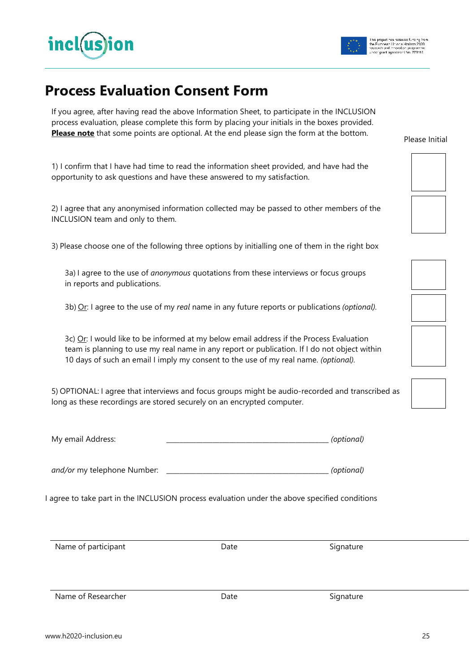

### **Process Evaluation Consent Form**

If you agree, after having read the above Information Sheet, to participate in the INCLUSION process evaluation, please complete this form by placing your initials in the boxes provided. **Please note** that some points are optional. At the end please sign the form at the bottom.

1) I confirm that I have had time to read the information sheet provided, and have had the opportunity to ask questions and have these answered to my satisfaction.

2) I agree that any anonymised information collected may be passed to other members of the INCLUSION team and only to them.

3) Please choose one of the following three options by initialling one of them in the right box

 3a) I agree to the use of *anonymous* quotations from these interviews or focus groups in reports and publications.

3b) Or: I agree to the use of my *real* name in any future reports or publications *(optional).*

3c)  $Or$ : I would like to be informed at my below email address if the Process Evaluation team is planning to use my real name in any report or publication. If I do not object within 10 days of such an email I imply my consent to the use of my real name. *(optional).* 

5) OPTIONAL: I agree that interviews and focus groups might be audio-recorded and transcribed as long as these recordings are stored securely on an encrypted computer.

| My email Address: |  | (optional) |
|-------------------|--|------------|
|-------------------|--|------------|

*and/or* my telephone Number: \_\_\_\_\_\_\_\_\_\_\_\_\_\_\_\_\_\_\_\_\_\_\_\_\_\_\_\_\_\_\_\_\_\_\_\_\_\_\_\_\_\_\_\_\_\_\_\_\_ *(optional)* 

I agree to take part in the INCLUSION process evaluation under the above specified conditions

Name of participant and the Signature Control of Date Signature Signature

Name of Researcher The Signature Controller Signature Date Signature



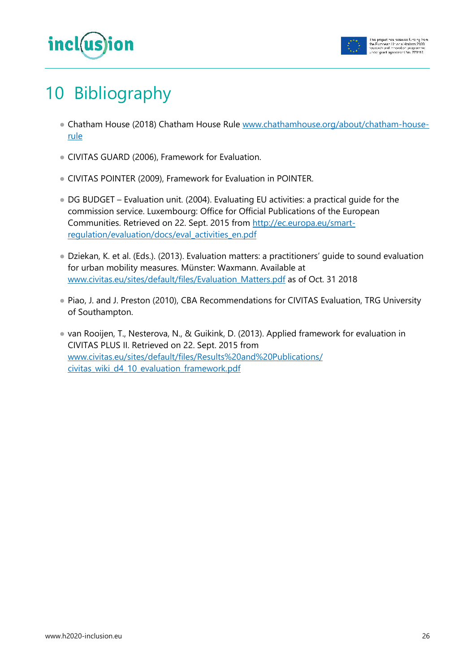

# 10 Bibliography

- Chatham House (2018) Chatham House Rule www.chathamhouse.org/about/chatham-houserule
- CIVITAS GUARD (2006), Framework for Evaluation.
- CIVITAS POINTER (2009), Framework for Evaluation in POINTER.
- DG BUDGET Evaluation unit. (2004). Evaluating EU activities: a practical guide for the commission service. Luxembourg: Office for Official Publications of the European Communities. Retrieved on 22. Sept. 2015 from http://ec.europa.eu/smartregulation/evaluation/docs/eval\_activities\_en.pdf
- Dziekan, K. et al. (Eds.). (2013). Evaluation matters: a practitioners' guide to sound evaluation for urban mobility measures. Münster: Waxmann. Available at www.civitas.eu/sites/default/files/Evaluation Matters.pdf as of Oct. 31 2018
- Piao, J. and J. Preston (2010), CBA Recommendations for CIVITAS Evaluation, TRG University of Southampton.
- van Rooijen, T., Nesterova, N., & Guikink, D. (2013). Applied framework for evaluation in CIVITAS PLUS II. Retrieved on 22. Sept. 2015 from www.civitas.eu/sites/default/files/Results%20and%20Publications/ civitas\_wiki\_d4\_10\_evaluation\_framework.pdf